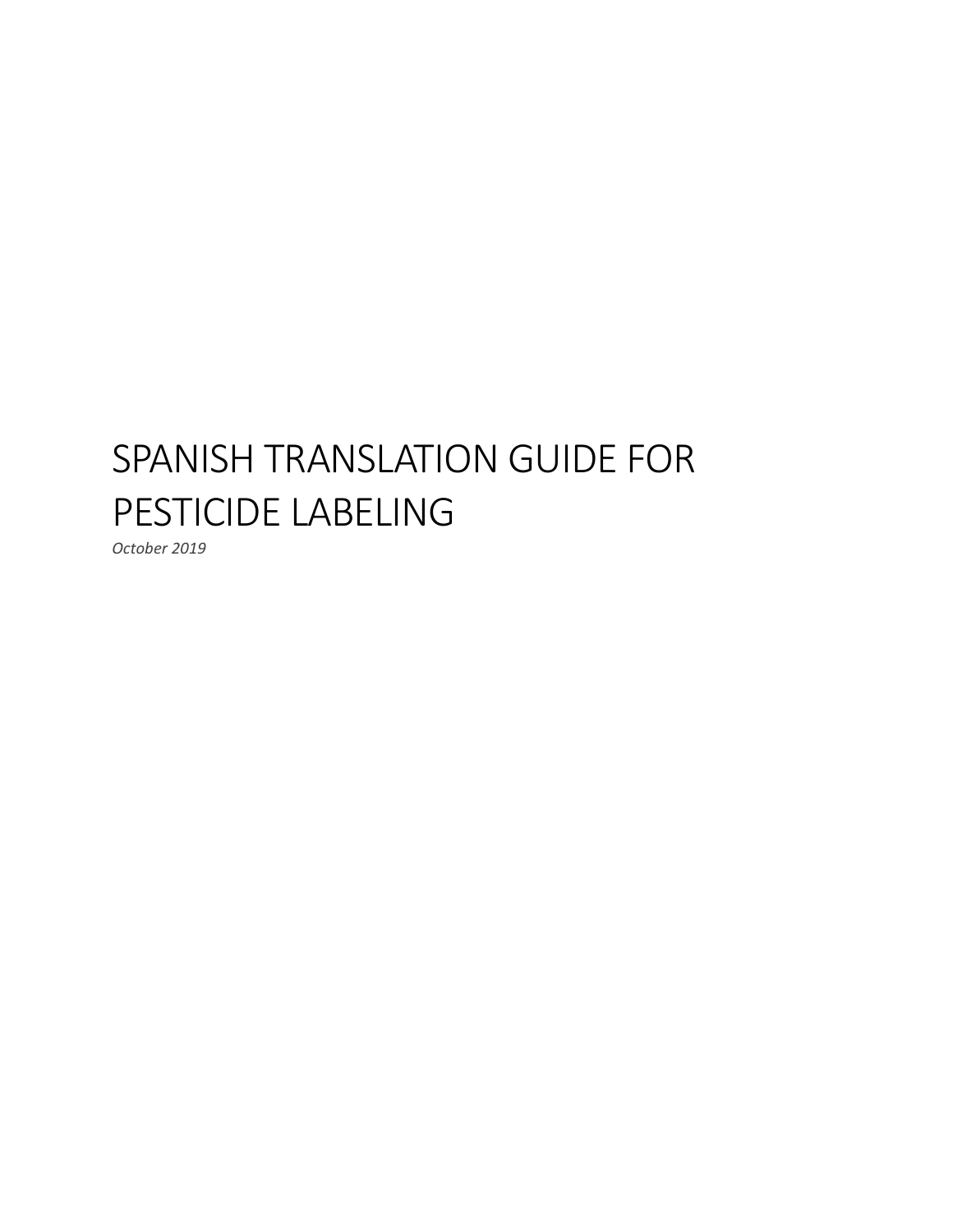# SPANISH TRANSLATION GUIDE FOR PESTICIDE LABELING

*October 2019*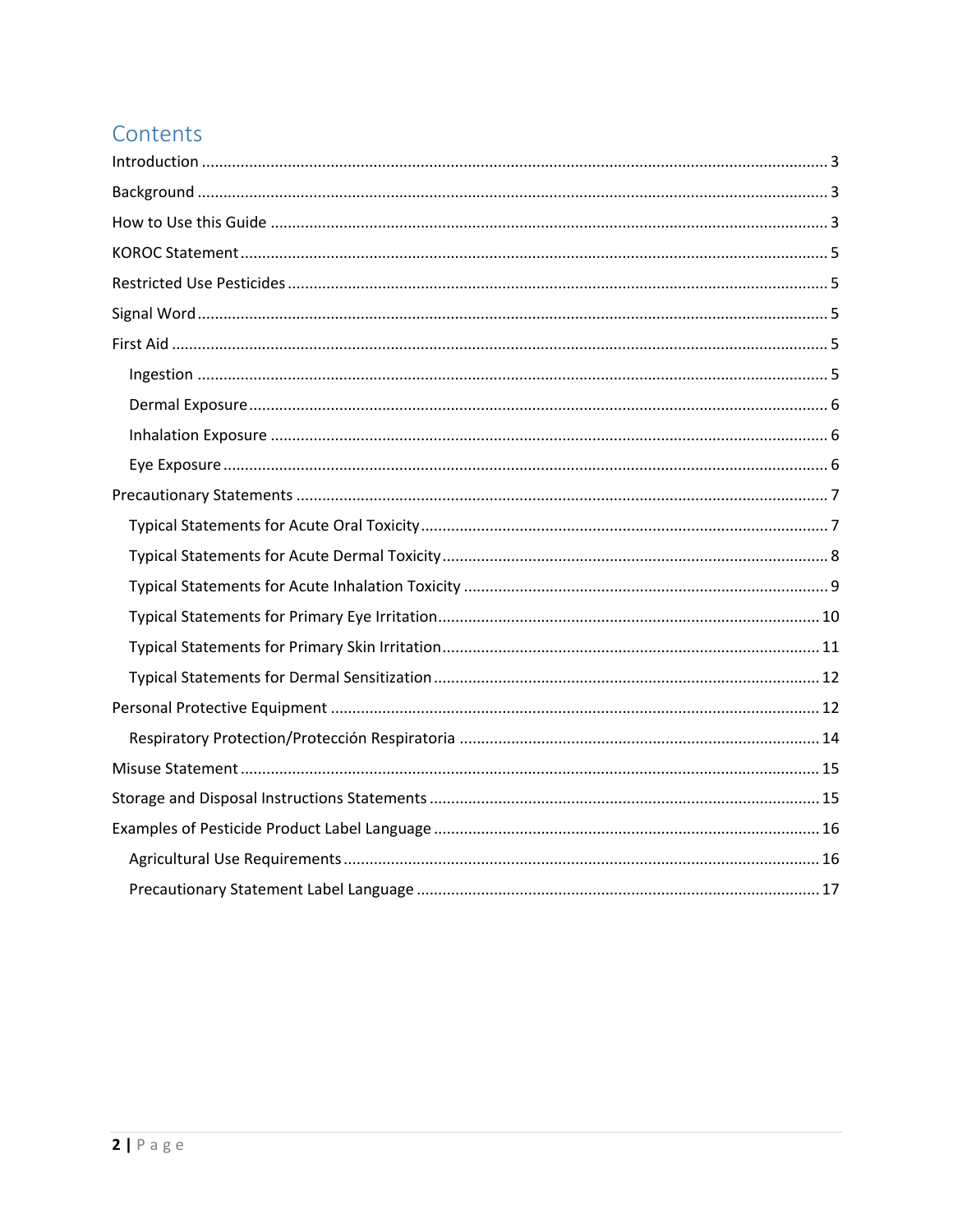# Contents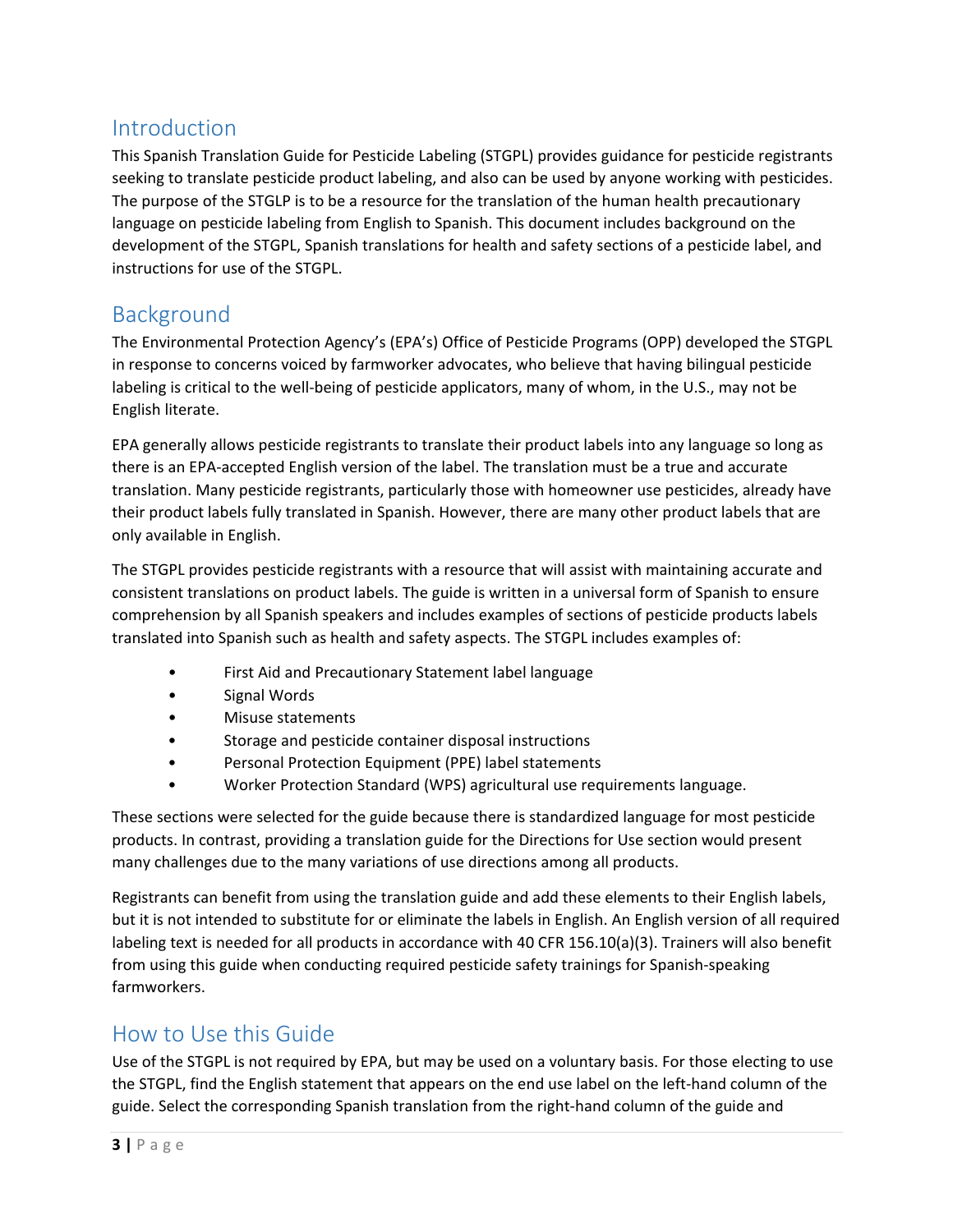### <span id="page-2-0"></span>Introduction

This Spanish Translation Guide for Pesticide Labeling (STGPL) provides guidance for pesticide registrants seeking to translate pesticide product labeling, and also can be used by anyone working with pesticides. The purpose of the STGLP is to be a resource for the translation of the human health precautionary language on pesticide labeling from English to Spanish. This document includes background on the development of the STGPL, Spanish translations for health and safety sections of a pesticide label, and instructions for use of the STGPL.

### <span id="page-2-1"></span>Background

The Environmental Protection Agency's (EPA's) Office of Pesticide Programs (OPP) developed the STGPL in response to concerns voiced by farmworker advocates, who believe that having bilingual pesticide labeling is critical to the well-being of pesticide applicators, many of whom, in the U.S., may not be English literate.

EPA generally allows pesticide registrants to translate their product labels into any language so long as there is an EPA-accepted English version of the label. The translation must be a true and accurate translation. Many pesticide registrants, particularly those with homeowner use pesticides, already have their product labels fully translated in Spanish. However, there are many other product labels that are only available in English.

The STGPL provides pesticide registrants with a resource that will assist with maintaining accurate and consistent translations on product labels. The guide is written in a universal form of Spanish to ensure comprehension by all Spanish speakers and includes examples of sections of pesticide products labels translated into Spanish such as health and safety aspects. The STGPL includes examples of:

- First Aid and Precautionary Statement label language
- Signal Words
- Misuse statements
- Storage and pesticide container disposal instructions
- Personal Protection Equipment (PPE) label statements
- Worker Protection Standard (WPS) agricultural use requirements language.

These sections were selected for the guide because there is standardized language for most pesticide products. In contrast, providing a translation guide for the Directions for Use section would present many challenges due to the many variations of use directions among all products.

Registrants can benefit from using the translation guide and add these elements to their English labels, but it is not intended to substitute for or eliminate the labels in English. An English version of all required labeling text is needed for all products in accordance with 40 CFR 156.10(a)(3). Trainers will also benefit from using this guide when conducting required pesticide safety trainings for Spanish-speaking farmworkers.

### <span id="page-2-2"></span>How to Use this Guide

Use of the STGPL is not required by EPA, but may be used on a voluntary basis. For those electing to use the STGPL, find the English statement that appears on the end use label on the left-hand column of the guide. Select the corresponding Spanish translation from the right-hand column of the guide and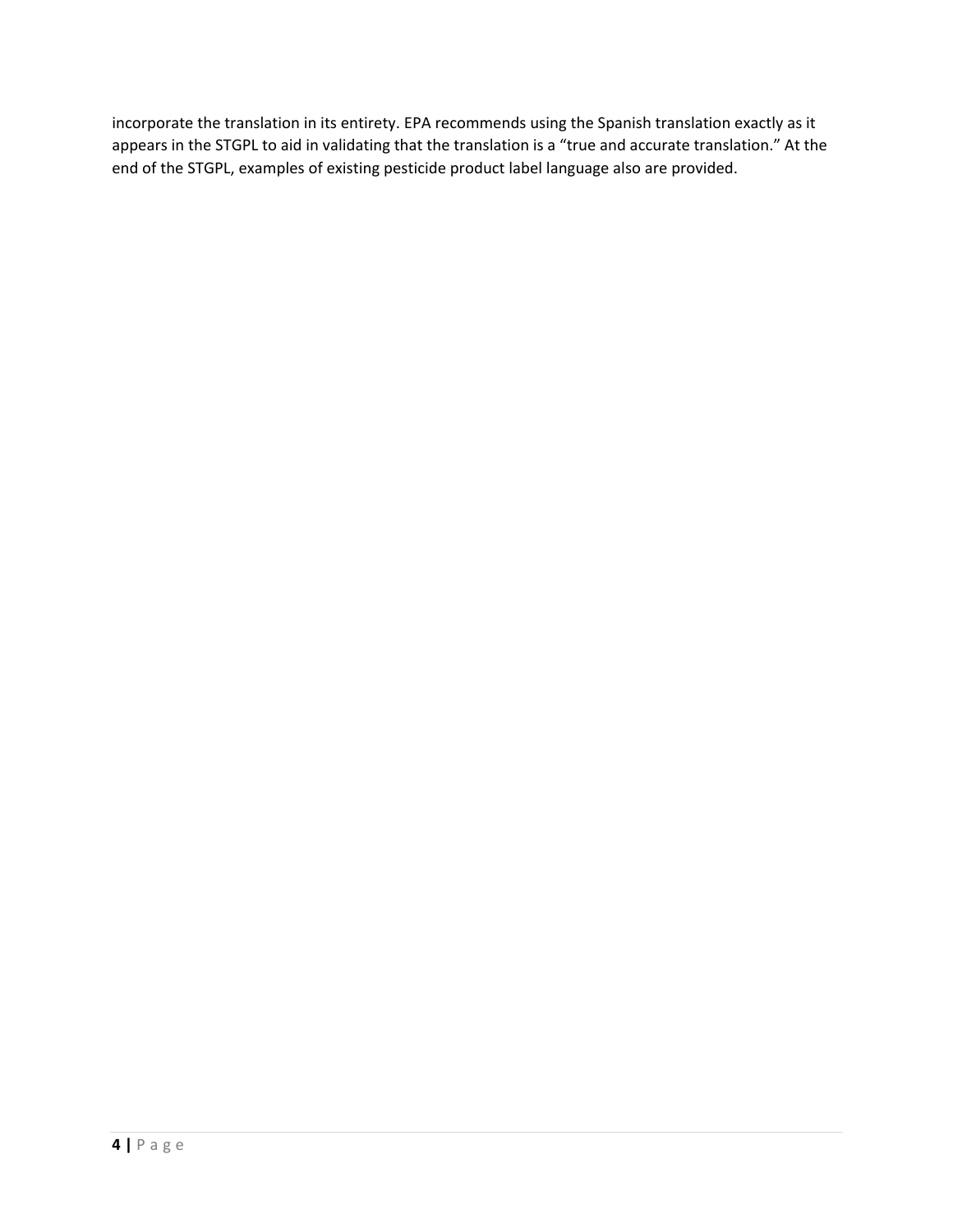incorporate the translation in its entirety. EPA recommends using the Spanish translation exactly as it appears in the STGPL to aid in validating that the translation is a "true and accurate translation." At the end of the STGPL, examples of existing pesticide product label language also are provided.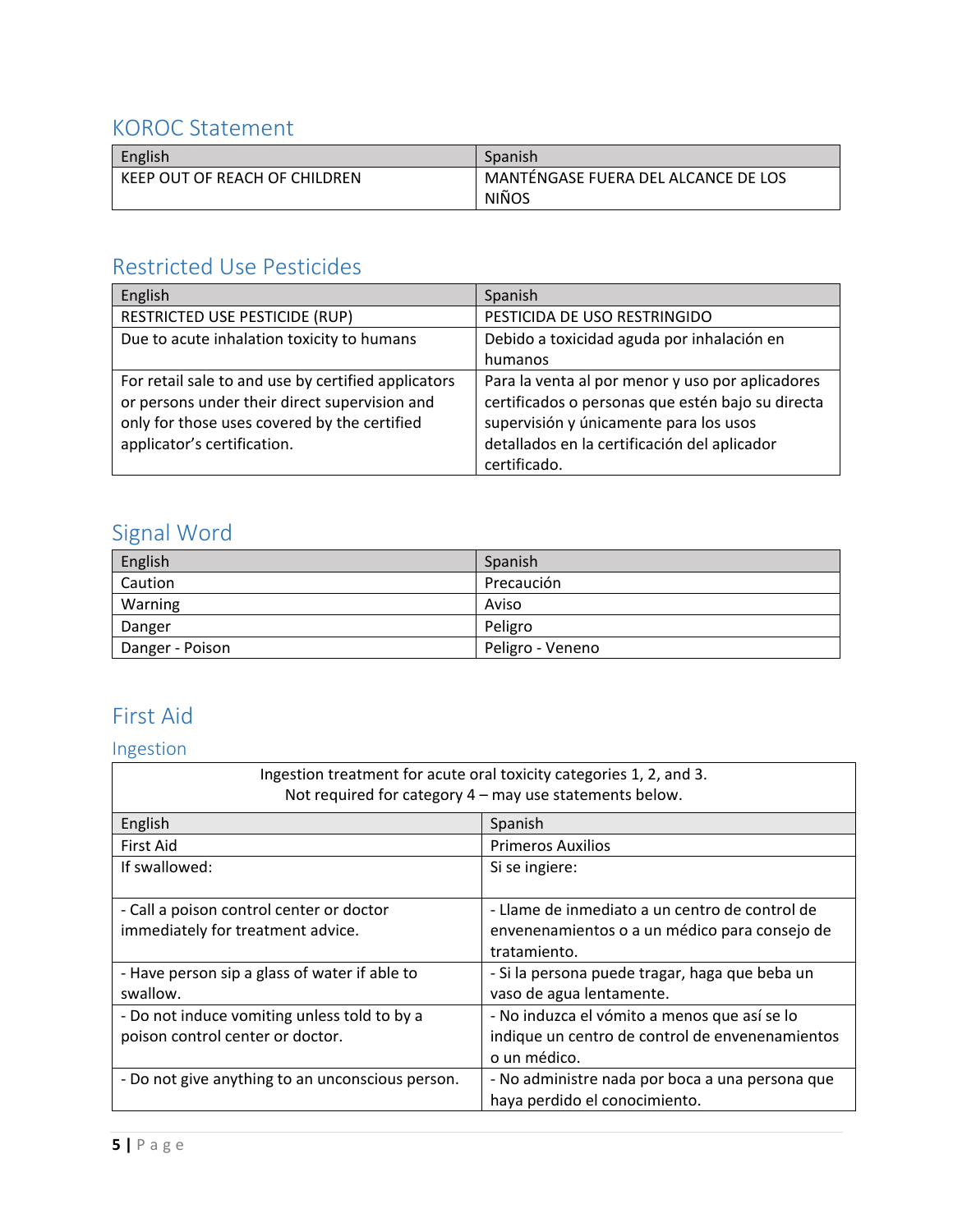### <span id="page-4-0"></span>KOROC Statement

| English                       | Spanish                             |  |
|-------------------------------|-------------------------------------|--|
| KEEP OUT OF REACH OF CHILDREN | MANTÉNGASE FUERA DEL ALCANCE DE LOS |  |
|                               | <b>NIÑOS</b>                        |  |

# <span id="page-4-1"></span>Restricted Use Pesticides

| English                                             | Spanish                                           |
|-----------------------------------------------------|---------------------------------------------------|
| RESTRICTED USE PESTICIDE (RUP)                      | PESTICIDA DE USO RESTRINGIDO                      |
| Due to acute inhalation toxicity to humans          | Debido a toxicidad aguda por inhalación en        |
|                                                     | humanos                                           |
| For retail sale to and use by certified applicators | Para la venta al por menor y uso por aplicadores  |
| or persons under their direct supervision and       | certificados o personas que estén bajo su directa |
| only for those uses covered by the certified        | supervisión y únicamente para los usos            |
| applicator's certification.                         | detallados en la certificación del aplicador      |
|                                                     | certificado.                                      |

# <span id="page-4-2"></span>Signal Word

| English         | Spanish          |
|-----------------|------------------|
| Caution         | Precaución       |
| Warning         | Aviso            |
| Danger          | Peligro          |
| Danger - Poison | Peligro - Veneno |

# <span id="page-4-3"></span>First Aid

# <span id="page-4-4"></span>Ingestion

| Ingestion treatment for acute oral toxicity categories 1, 2, and 3.<br>Not required for category 4 - may use statements below. |                                                                                                                 |  |
|--------------------------------------------------------------------------------------------------------------------------------|-----------------------------------------------------------------------------------------------------------------|--|
| English                                                                                                                        | Spanish                                                                                                         |  |
| First Aid                                                                                                                      | <b>Primeros Auxilios</b>                                                                                        |  |
| If swallowed:                                                                                                                  | Si se ingiere:                                                                                                  |  |
| - Call a poison control center or doctor<br>immediately for treatment advice.                                                  | - Llame de inmediato a un centro de control de<br>envenenamientos o a un médico para consejo de<br>tratamiento. |  |
| - Have person sip a glass of water if able to<br>swallow.                                                                      | - Si la persona puede tragar, haga que beba un<br>vaso de agua lentamente.                                      |  |
| - Do not induce vomiting unless told to by a<br>poison control center or doctor.                                               | - No induzca el vómito a menos que así se lo<br>indique un centro de control de envenenamientos<br>o un médico. |  |
| - Do not give anything to an unconscious person.                                                                               | - No administre nada por boca a una persona que<br>haya perdido el conocimiento.                                |  |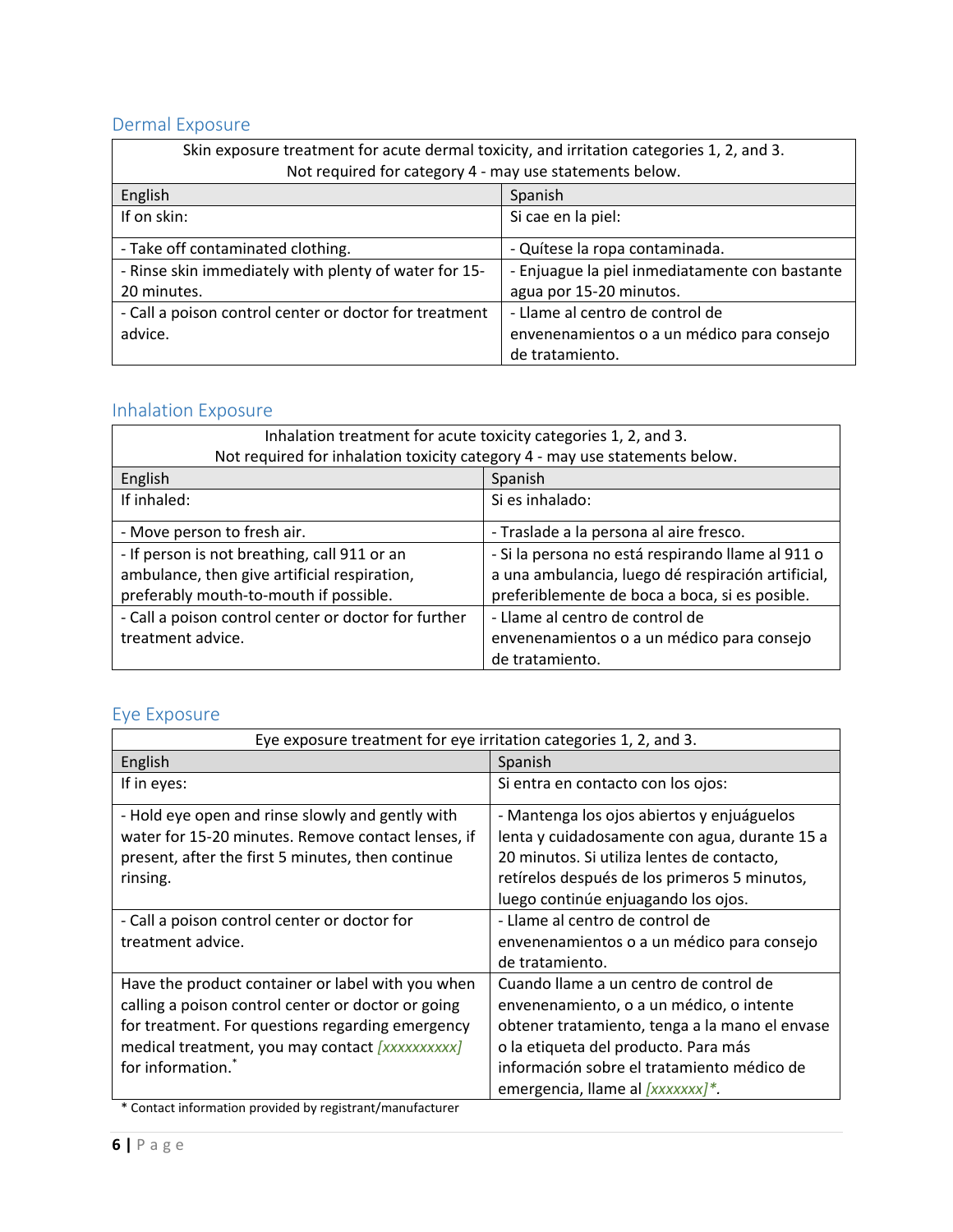# <span id="page-5-0"></span>Dermal Exposure

| Skin exposure treatment for acute dermal toxicity, and irritation categories 1, 2, and 3. |                                                |  |
|-------------------------------------------------------------------------------------------|------------------------------------------------|--|
| Not required for category 4 - may use statements below.                                   |                                                |  |
| English<br>Spanish                                                                        |                                                |  |
| If on skin:                                                                               | Si cae en la piel:                             |  |
| - Take off contaminated clothing.<br>- Quítese la ropa contaminada.                       |                                                |  |
| - Rinse skin immediately with plenty of water for 15-                                     | - Enjuague la piel inmediatamente con bastante |  |
| 20 minutes.                                                                               | agua por 15-20 minutos.                        |  |
| - Call a poison control center or doctor for treatment                                    | - Llame al centro de control de                |  |
| advice.                                                                                   | envenenamientos o a un médico para consejo     |  |
|                                                                                           | de tratamiento.                                |  |

#### <span id="page-5-1"></span>Inhalation Exposure

| Inhalation treatment for acute toxicity categories 1, 2, and 3.             |                                                    |  |
|-----------------------------------------------------------------------------|----------------------------------------------------|--|
| Not required for inhalation toxicity category 4 - may use statements below. |                                                    |  |
| English                                                                     | Spanish                                            |  |
| If inhaled:                                                                 | Si es inhalado:                                    |  |
| - Move person to fresh air.                                                 | - Traslade a la persona al aire fresco.            |  |
| - If person is not breathing, call 911 or an                                | - Si la persona no está respirando llame al 911 o  |  |
| ambulance, then give artificial respiration,                                | a una ambulancia, luego dé respiración artificial, |  |
| preferably mouth-to-mouth if possible.                                      | preferiblemente de boca a boca, si es posible.     |  |
| - Call a poison control center or doctor for further                        | - Llame al centro de control de                    |  |
| treatment advice.                                                           | envenenamientos o a un médico para consejo         |  |
|                                                                             | de tratamiento.                                    |  |

### <span id="page-5-2"></span>Eye Exposure

| Eye exposure treatment for eye irritation categories 1, 2, and 3. |                                                |  |
|-------------------------------------------------------------------|------------------------------------------------|--|
| English                                                           | Spanish                                        |  |
| If in eyes:                                                       | Si entra en contacto con los ojos:             |  |
| - Hold eye open and rinse slowly and gently with                  | - Mantenga los ojos abiertos y enjuáguelos     |  |
| water for 15-20 minutes. Remove contact lenses, if                | lenta y cuidadosamente con agua, durante 15 a  |  |
| present, after the first 5 minutes, then continue                 | 20 minutos. Si utiliza lentes de contacto,     |  |
| rinsing.                                                          | retírelos después de los primeros 5 minutos,   |  |
|                                                                   | luego continúe enjuagando los ojos.            |  |
| - Call a poison control center or doctor for                      | - Llame al centro de control de                |  |
| treatment advice.                                                 | envenenamientos o a un médico para consejo     |  |
|                                                                   | de tratamiento.                                |  |
| Have the product container or label with you when                 | Cuando llame a un centro de control de         |  |
| calling a poison control center or doctor or going                | envenenamiento, o a un médico, o intente       |  |
| for treatment. For questions regarding emergency                  | obtener tratamiento, tenga a la mano el envase |  |
| medical treatment, you may contact [xxxxxxxxxx]                   | o la etiqueta del producto. Para más           |  |
| for information.                                                  | información sobre el tratamiento médico de     |  |
|                                                                   | emergencia, llame al [xxxxxxx]*.               |  |

\* Contact information provided by registrant/manufacturer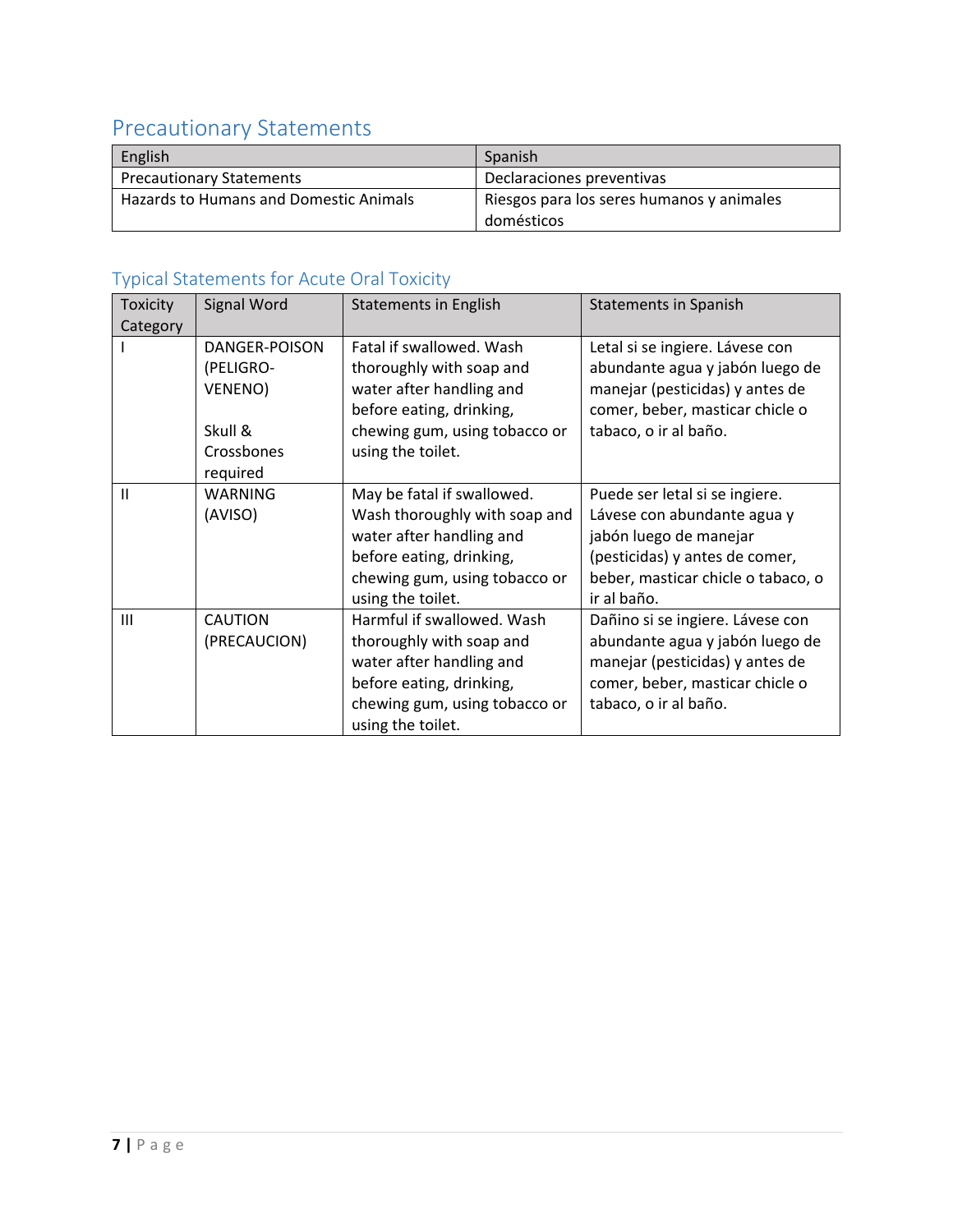# <span id="page-6-0"></span>Precautionary Statements

| English                                | Spanish                                   |  |
|----------------------------------------|-------------------------------------------|--|
| <b>Precautionary Statements</b>        | Declaraciones preventivas                 |  |
| Hazards to Humans and Domestic Animals | Riesgos para los seres humanos y animales |  |
|                                        | domésticos                                |  |

# <span id="page-6-1"></span>Typical Statements for Acute Oral Toxicity

| <b>Toxicity</b> | Signal Word    | <b>Statements in English</b>  | <b>Statements in Spanish</b>       |
|-----------------|----------------|-------------------------------|------------------------------------|
| Category        |                |                               |                                    |
|                 | DANGER-POISON  | Fatal if swallowed. Wash      | Letal si se ingiere. Lávese con    |
|                 | (PELIGRO-      | thoroughly with soap and      | abundante agua y jabón luego de    |
|                 | VENENO)        | water after handling and      | manejar (pesticidas) y antes de    |
|                 |                | before eating, drinking,      | comer, beber, masticar chicle o    |
|                 | Skull &        | chewing gum, using tobacco or | tabaco, o ir al baño.              |
|                 | Crossbones     | using the toilet.             |                                    |
|                 | required       |                               |                                    |
| $\mathbf{I}$    | WARNING        | May be fatal if swallowed.    | Puede ser letal si se ingiere.     |
|                 | (AVISO)        | Wash thoroughly with soap and | Lávese con abundante agua y        |
|                 |                | water after handling and      | jabón luego de manejar             |
|                 |                | before eating, drinking,      | (pesticidas) y antes de comer,     |
|                 |                | chewing gum, using tobacco or | beber, masticar chicle o tabaco, o |
|                 |                | using the toilet.             | ir al baño.                        |
| III             | <b>CAUTION</b> | Harmful if swallowed. Wash    | Dañino si se ingiere. Lávese con   |
|                 | (PRECAUCION)   | thoroughly with soap and      | abundante agua y jabón luego de    |
|                 |                | water after handling and      | manejar (pesticidas) y antes de    |
|                 |                | before eating, drinking,      | comer, beber, masticar chicle o    |
|                 |                | chewing gum, using tobacco or | tabaco, o ir al baño.              |
|                 |                | using the toilet.             |                                    |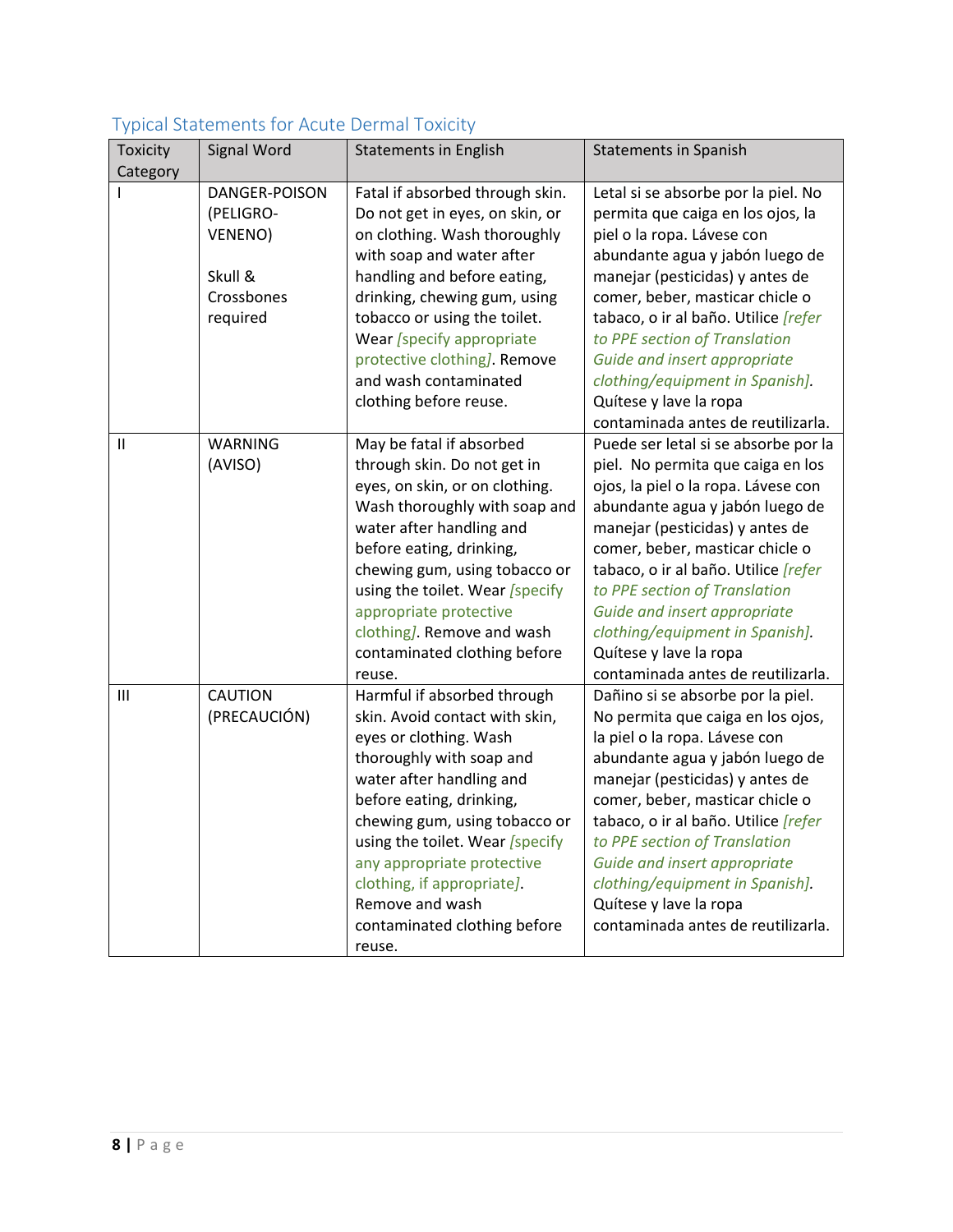| Toxicity<br>Category | $\gamma$ proditional critical contribution of $\gamma$<br>Signal Word | <b>Statements in English</b>    | <b>Statements in Spanish</b>                |
|----------------------|-----------------------------------------------------------------------|---------------------------------|---------------------------------------------|
|                      | DANGER-POISON                                                         | Fatal if absorbed through skin. | Letal si se absorbe por la piel. No         |
|                      | (PELIGRO-                                                             | Do not get in eyes, on skin, or | permita que caiga en los ojos, la           |
|                      | VENENO)                                                               | on clothing. Wash thoroughly    | piel o la ropa. Lávese con                  |
|                      |                                                                       | with soap and water after       | abundante agua y jabón luego de             |
|                      | Skull &                                                               | handling and before eating,     | manejar (pesticidas) y antes de             |
|                      | Crossbones                                                            | drinking, chewing gum, using    | comer, beber, masticar chicle o             |
|                      | required                                                              | tobacco or using the toilet.    | tabaco, o ir al baño. Utilice [refer        |
|                      |                                                                       | Wear [specify appropriate       | to PPE section of Translation               |
|                      |                                                                       | protective clothing]. Remove    | Guide and insert appropriate                |
|                      |                                                                       | and wash contaminated           | clothing/equipment in Spanish].             |
|                      |                                                                       | clothing before reuse.          | Quítese y lave la ropa                      |
|                      |                                                                       |                                 | contaminada antes de reutilizarla.          |
| $\mathbf{I}$         | <b>WARNING</b>                                                        | May be fatal if absorbed        | Puede ser letal si se absorbe por la        |
|                      | (AVISO)                                                               | through skin. Do not get in     | piel. No permita que caiga en los           |
|                      |                                                                       | eyes, on skin, or on clothing.  | ojos, la piel o la ropa. Lávese con         |
|                      |                                                                       | Wash thoroughly with soap and   | abundante agua y jabón luego de             |
|                      |                                                                       | water after handling and        | manejar (pesticidas) y antes de             |
|                      |                                                                       | before eating, drinking,        | comer, beber, masticar chicle o             |
|                      |                                                                       | chewing gum, using tobacco or   | tabaco, o ir al baño. Utilice [refer        |
|                      |                                                                       | using the toilet. Wear [specify | to PPE section of Translation               |
|                      |                                                                       | appropriate protective          | Guide and insert appropriate                |
|                      |                                                                       | clothing]. Remove and wash      | clothing/equipment in Spanish].             |
|                      |                                                                       | contaminated clothing before    | Quítese y lave la ropa                      |
|                      |                                                                       | reuse.                          | contaminada antes de reutilizarla.          |
| Ш                    | <b>CAUTION</b>                                                        | Harmful if absorbed through     | Dañino si se absorbe por la piel.           |
|                      | (PRECAUCIÓN)                                                          | skin. Avoid contact with skin,  | No permita que caiga en los ojos,           |
|                      |                                                                       | eyes or clothing. Wash          | la piel o la ropa. Lávese con               |
|                      |                                                                       | thoroughly with soap and        | abundante agua y jabón luego de             |
|                      |                                                                       | water after handling and        | manejar (pesticidas) y antes de             |
|                      |                                                                       | before eating, drinking,        | comer, beber, masticar chicle o             |
|                      |                                                                       | chewing gum, using tobacco or   | tabaco, o ir al baño. Utilice <i>[refer</i> |
|                      |                                                                       | using the toilet. Wear [specify | to PPE section of Translation               |
|                      |                                                                       | any appropriate protective      | Guide and insert appropriate                |
|                      |                                                                       | clothing, if appropriate].      | clothing/equipment in Spanish].             |
|                      |                                                                       | Remove and wash                 | Quítese y lave la ropa                      |
|                      |                                                                       | contaminated clothing before    | contaminada antes de reutilizarla.          |
|                      |                                                                       | reuse.                          |                                             |

### <span id="page-7-0"></span>Typical Statements for Acute Dermal Toxicity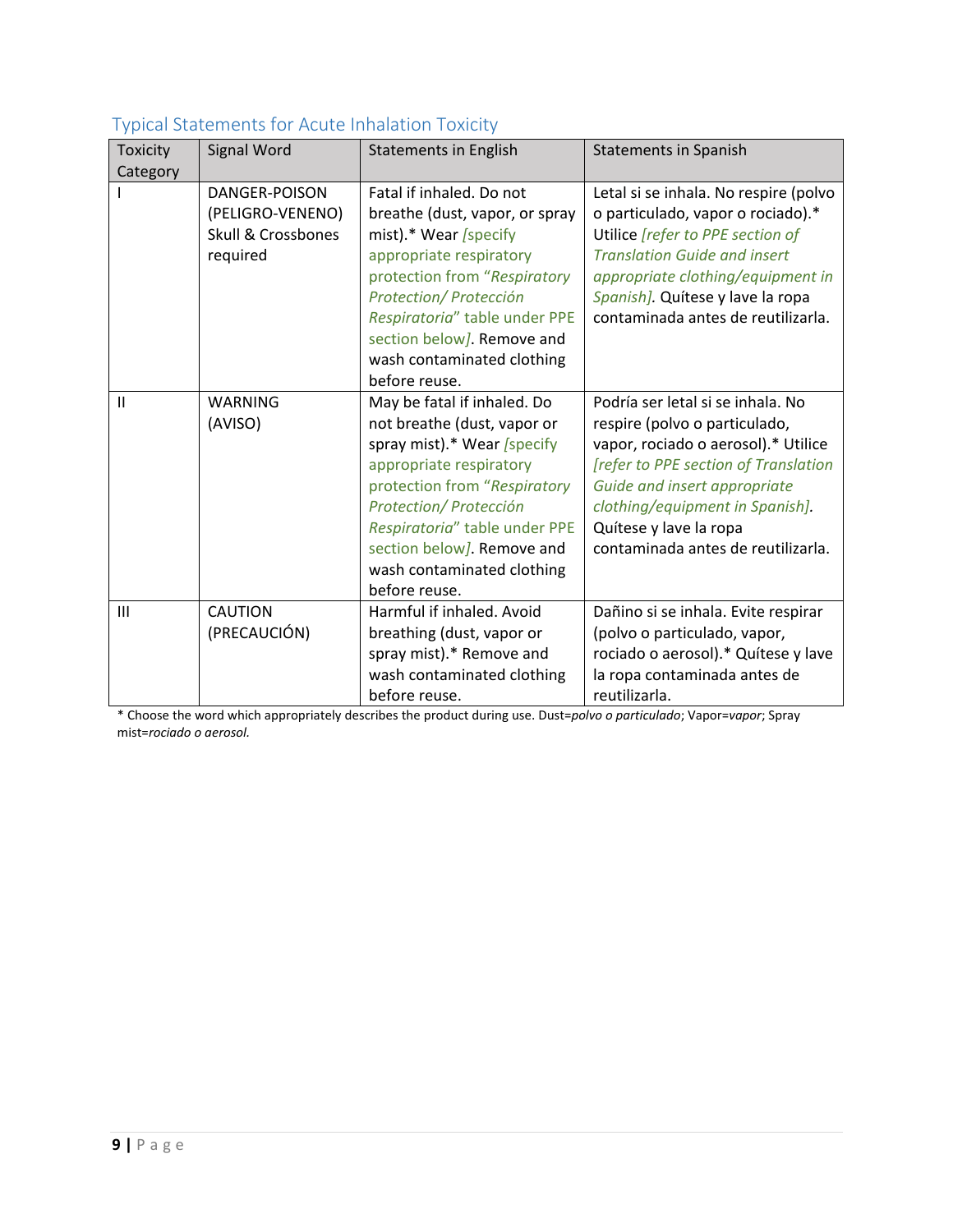|                 | rypical Statements for ricate influence in SATORY |                                |                                       |
|-----------------|---------------------------------------------------|--------------------------------|---------------------------------------|
| <b>Toxicity</b> | Signal Word                                       | <b>Statements in English</b>   | <b>Statements in Spanish</b>          |
| Category        |                                                   |                                |                                       |
|                 | DANGER-POISON                                     | Fatal if inhaled. Do not       | Letal si se inhala. No respire (polvo |
|                 | (PELIGRO-VENENO)                                  | breathe (dust, vapor, or spray | o particulado, vapor o rociado).*     |
|                 | <b>Skull &amp; Crossbones</b>                     | mist).* Wear /specify          | Utilice [refer to PPE section of      |
|                 | required                                          | appropriate respiratory        | <b>Translation Guide and insert</b>   |
|                 |                                                   | protection from "Respiratory   | appropriate clothing/equipment in     |
|                 |                                                   | Protection/ Protección         | Spanish]. Quitese y lave la ropa      |
|                 |                                                   | Respiratoria" table under PPE  | contaminada antes de reutilizarla.    |
|                 |                                                   | section below]. Remove and     |                                       |
|                 |                                                   | wash contaminated clothing     |                                       |
|                 |                                                   | before reuse.                  |                                       |
| $\mathsf{II}$   | <b>WARNING</b>                                    | May be fatal if inhaled. Do    | Podría ser letal si se inhala. No     |
|                 | (AVISO)                                           | not breathe (dust, vapor or    | respire (polvo o particulado,         |
|                 |                                                   | spray mist).* Wear [specify    | vapor, rociado o aerosol).* Utilice   |
|                 |                                                   | appropriate respiratory        | [refer to PPE section of Translation  |
|                 |                                                   | protection from "Respiratory   | Guide and insert appropriate          |
|                 |                                                   | Protection/ Protección         | clothing/equipment in Spanish].       |
|                 |                                                   | Respiratoria" table under PPE  | Quítese y lave la ropa                |
|                 |                                                   | section below]. Remove and     | contaminada antes de reutilizarla.    |
|                 |                                                   | wash contaminated clothing     |                                       |
|                 |                                                   | before reuse.                  |                                       |
| III             | <b>CAUTION</b>                                    | Harmful if inhaled. Avoid      | Dañino si se inhala. Evite respirar   |
|                 | (PRECAUCIÓN)                                      | breathing (dust, vapor or      | (polvo o particulado, vapor,          |
|                 |                                                   | spray mist).* Remove and       | rociado o aerosol).* Quítese y lave   |
|                 |                                                   | wash contaminated clothing     | la ropa contaminada antes de          |
|                 |                                                   | before reuse.                  | reutilizarla.                         |

#### <span id="page-8-0"></span>Typical Statements for Acute Inhalation Toxicity

\* Choose the word which appropriately describes the product during use. Dust=*polvo o particulado*; Vapor=*vapor*; Spray mist=*rociado o aerosol.*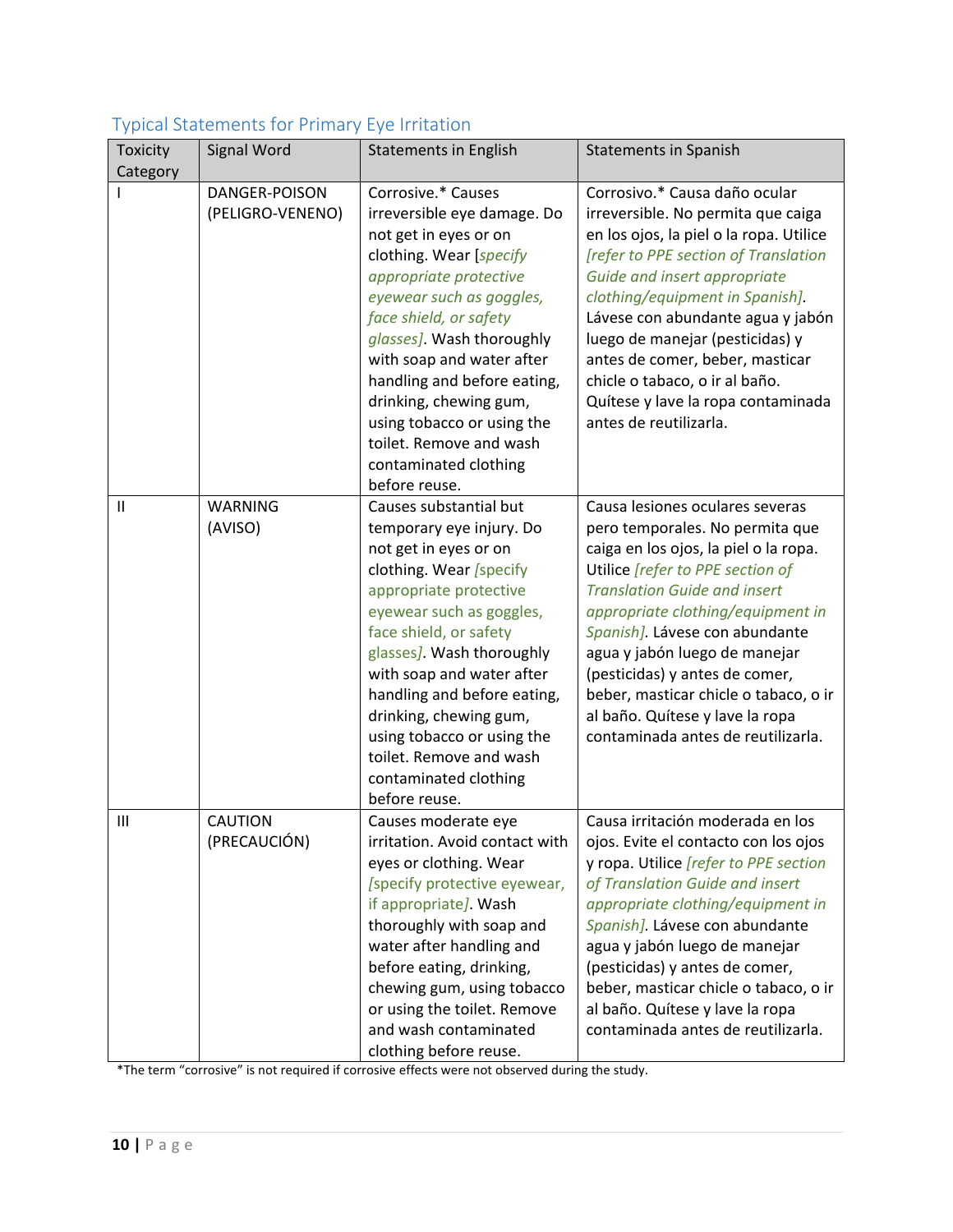| $\prime$ 1      |                                   |                                                                                                                                                                                                                                                                                                                                                                                                              |                                                                                                                                                                                                                                                                                                                                                                                                                                                    |
|-----------------|-----------------------------------|--------------------------------------------------------------------------------------------------------------------------------------------------------------------------------------------------------------------------------------------------------------------------------------------------------------------------------------------------------------------------------------------------------------|----------------------------------------------------------------------------------------------------------------------------------------------------------------------------------------------------------------------------------------------------------------------------------------------------------------------------------------------------------------------------------------------------------------------------------------------------|
| <b>Toxicity</b> | Signal Word                       | <b>Statements in English</b>                                                                                                                                                                                                                                                                                                                                                                                 | <b>Statements in Spanish</b>                                                                                                                                                                                                                                                                                                                                                                                                                       |
| Category        |                                   |                                                                                                                                                                                                                                                                                                                                                                                                              |                                                                                                                                                                                                                                                                                                                                                                                                                                                    |
|                 | DANGER-POISON<br>(PELIGRO-VENENO) | Corrosive.* Causes<br>irreversible eye damage. Do<br>not get in eyes or on<br>clothing. Wear [specify<br>appropriate protective<br>eyewear such as goggles,<br>face shield, or safety<br>glasses]. Wash thoroughly<br>with soap and water after<br>handling and before eating,<br>drinking, chewing gum,<br>using tobacco or using the<br>toilet. Remove and wash<br>contaminated clothing<br>before reuse.  | Corrosivo.* Causa daño ocular<br>irreversible. No permita que caiga<br>en los ojos, la piel o la ropa. Utilice<br>[refer to PPE section of Translation<br>Guide and insert appropriate<br>clothing/equipment in Spanish].<br>Lávese con abundante agua y jabón<br>luego de manejar (pesticidas) y<br>antes de comer, beber, masticar<br>chicle o tabaco, o ir al baño.<br>Quítese y lave la ropa contaminada<br>antes de reutilizarla.             |
| $\mathbf{II}$   | <b>WARNING</b><br>(AVISO)         | Causes substantial but<br>temporary eye injury. Do<br>not get in eyes or on<br>clothing. Wear [specify<br>appropriate protective<br>eyewear such as goggles,<br>face shield, or safety<br>glasses]. Wash thoroughly<br>with soap and water after<br>handling and before eating,<br>drinking, chewing gum,<br>using tobacco or using the<br>toilet. Remove and wash<br>contaminated clothing<br>before reuse. | Causa lesiones oculares severas<br>pero temporales. No permita que<br>caiga en los ojos, la piel o la ropa.<br>Utilice [refer to PPE section of<br><b>Translation Guide and insert</b><br>appropriate clothing/equipment in<br>Spanish]. Lávese con abundante<br>agua y jabón luego de manejar<br>(pesticidas) y antes de comer,<br>beber, masticar chicle o tabaco, o ir<br>al baño. Quítese y lave la ropa<br>contaminada antes de reutilizarla. |
| Ш               | <b>CAUTION</b><br>(PRECAUCIÓN)    | Causes moderate eye<br>irritation. Avoid contact with<br>eyes or clothing. Wear<br>[specify protective eyewear,<br>if appropriate]. Wash<br>thoroughly with soap and<br>water after handling and<br>before eating, drinking,<br>chewing gum, using tobacco<br>or using the toilet. Remove<br>and wash contaminated<br>clothing before reuse.                                                                 | Causa irritación moderada en los<br>ojos. Evite el contacto con los ojos<br>y ropa. Utilice <i>[refer to PPE section</i><br>of Translation Guide and insert<br>appropriate clothing/equipment in<br>Spanish]. Lávese con abundante<br>agua y jabón luego de manejar<br>(pesticidas) y antes de comer,<br>beber, masticar chicle o tabaco, o ir<br>al baño. Quítese y lave la ropa<br>contaminada antes de reutilizarla.                            |

### <span id="page-9-0"></span>Typical Statements for Primary Eye Irritation

\*The term "corrosive" is not required if corrosive effects were not observed during the study.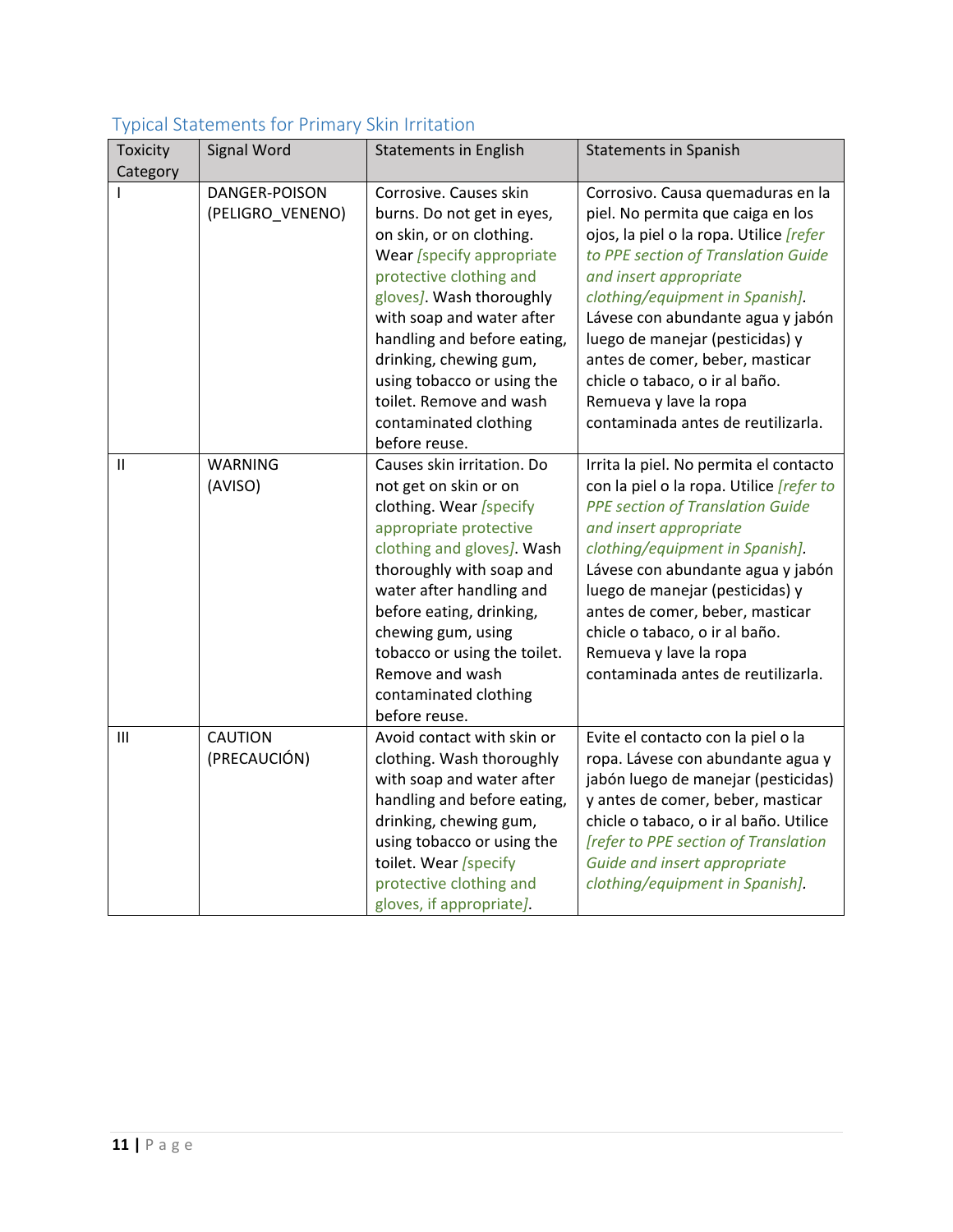| <b>Toxicity</b><br>Category | Signal Word                       | <b>Statements in English</b>                                                                                                                                                                                                                                                                                                                                  | <b>Statements in Spanish</b>                                                                                                                                                                                                                                                                                                                                                                                                              |
|-----------------------------|-----------------------------------|---------------------------------------------------------------------------------------------------------------------------------------------------------------------------------------------------------------------------------------------------------------------------------------------------------------------------------------------------------------|-------------------------------------------------------------------------------------------------------------------------------------------------------------------------------------------------------------------------------------------------------------------------------------------------------------------------------------------------------------------------------------------------------------------------------------------|
|                             | DANGER-POISON<br>(PELIGRO_VENENO) | Corrosive. Causes skin<br>burns. Do not get in eyes,<br>on skin, or on clothing.<br>Wear [specify appropriate<br>protective clothing and<br>gloves]. Wash thoroughly<br>with soap and water after<br>handling and before eating,<br>drinking, chewing gum,<br>using tobacco or using the<br>toilet. Remove and wash<br>contaminated clothing<br>before reuse. | Corrosivo. Causa quemaduras en la<br>piel. No permita que caiga en los<br>ojos, la piel o la ropa. Utilice <i>[refer</i><br>to PPE section of Translation Guide<br>and insert appropriate<br>clothing/equipment in Spanish].<br>Lávese con abundante agua y jabón<br>luego de manejar (pesticidas) y<br>antes de comer, beber, masticar<br>chicle o tabaco, o ir al baño.<br>Remueva y lave la ropa<br>contaminada antes de reutilizarla. |
| $\mathbf{II}$               | <b>WARNING</b><br>(AVISO)         | Causes skin irritation. Do<br>not get on skin or on<br>clothing. Wear [specify<br>appropriate protective<br>clothing and gloves]. Wash<br>thoroughly with soap and<br>water after handling and<br>before eating, drinking,<br>chewing gum, using<br>tobacco or using the toilet.<br>Remove and wash<br>contaminated clothing<br>before reuse.                 | Irrita la piel. No permita el contacto<br>con la piel o la ropa. Utilice <i>refer to</i><br><b>PPE section of Translation Guide</b><br>and insert appropriate<br>clothing/equipment in Spanish].<br>Lávese con abundante agua y jabón<br>luego de manejar (pesticidas) y<br>antes de comer, beber, masticar<br>chicle o tabaco, o ir al baño.<br>Remueva y lave la ropa<br>contaminada antes de reutilizarla.                             |
| III                         | <b>CAUTION</b><br>(PRECAUCIÓN)    | Avoid contact with skin or<br>clothing. Wash thoroughly<br>with soap and water after<br>handling and before eating,<br>drinking, chewing gum,<br>using tobacco or using the<br>toilet. Wear [specify<br>protective clothing and<br>gloves, if appropriate].                                                                                                   | Evite el contacto con la piel o la<br>ropa. Lávese con abundante agua y<br>jabón luego de manejar (pesticidas)<br>y antes de comer, beber, masticar<br>chicle o tabaco, o ir al baño. Utilice<br>[refer to PPE section of Translation<br>Guide and insert appropriate<br>clothing/equipment in Spanish].                                                                                                                                  |

### <span id="page-10-0"></span>Typical Statements for Primary Skin Irritation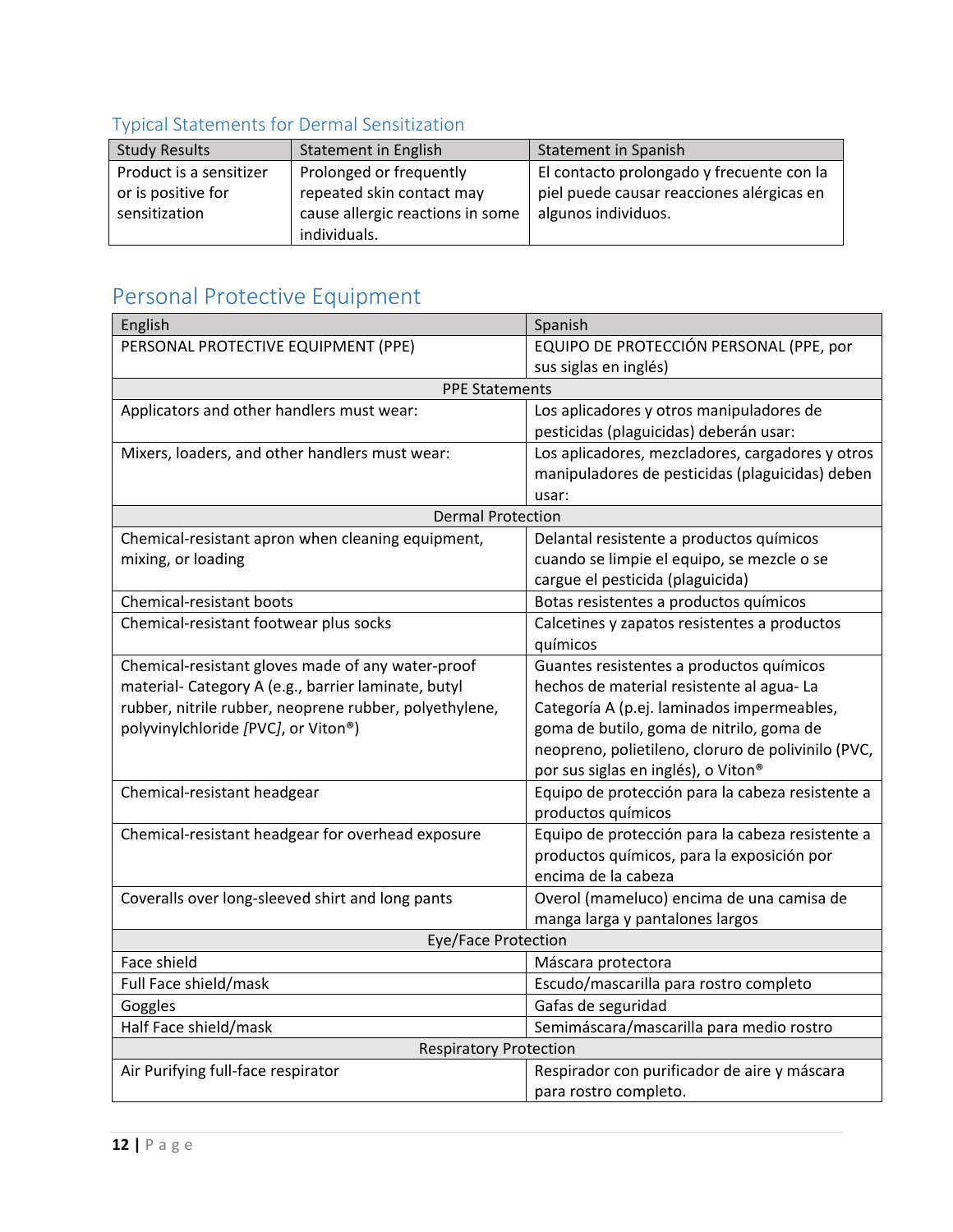# <span id="page-11-0"></span>Typical Statements for Dermal Sensitization

| <b>Study Results</b>    | Statement in English             | <b>Statement in Spanish</b>               |
|-------------------------|----------------------------------|-------------------------------------------|
| Product is a sensitizer | Prolonged or frequently          | El contacto prolongado y frecuente con la |
| or is positive for      | repeated skin contact may        | piel puede causar reacciones alérgicas en |
| sensitization           | cause allergic reactions in some | algunos individuos.                       |
|                         | individuals.                     |                                           |

# <span id="page-11-1"></span>Personal Protective Equipment

| English                                                | Spanish                                            |  |  |
|--------------------------------------------------------|----------------------------------------------------|--|--|
| PERSONAL PROTECTIVE EQUIPMENT (PPE)                    | EQUIPO DE PROTECCIÓN PERSONAL (PPE, por            |  |  |
|                                                        | sus siglas en inglés)                              |  |  |
| <b>PPE Statements</b>                                  |                                                    |  |  |
| Applicators and other handlers must wear:              | Los aplicadores y otros manipuladores de           |  |  |
|                                                        | pesticidas (plaguicidas) deberán usar:             |  |  |
| Mixers, loaders, and other handlers must wear:         | Los aplicadores, mezcladores, cargadores y otros   |  |  |
|                                                        | manipuladores de pesticidas (plaguicidas) deben    |  |  |
|                                                        | usar:                                              |  |  |
| <b>Dermal Protection</b>                               |                                                    |  |  |
| Chemical-resistant apron when cleaning equipment,      | Delantal resistente a productos químicos           |  |  |
| mixing, or loading                                     | cuando se limpie el equipo, se mezcle o se         |  |  |
|                                                        | cargue el pesticida (plaguicida)                   |  |  |
| Chemical-resistant boots                               | Botas resistentes a productos químicos             |  |  |
| Chemical-resistant footwear plus socks                 | Calcetines y zapatos resistentes a productos       |  |  |
|                                                        | químicos                                           |  |  |
| Chemical-resistant gloves made of any water-proof      | Guantes resistentes a productos químicos           |  |  |
| material- Category A (e.g., barrier laminate, butyl    | hechos de material resistente al agua-La           |  |  |
| rubber, nitrile rubber, neoprene rubber, polyethylene, | Categoría A (p.ej. laminados impermeables,         |  |  |
| polyvinylchloride [PVC], or Viton <sup>®</sup> )       | goma de butilo, goma de nitrilo, goma de           |  |  |
|                                                        | neopreno, polietileno, cloruro de polivinilo (PVC, |  |  |
|                                                        | por sus siglas en inglés), o Viton®                |  |  |
| Chemical-resistant headgear                            | Equipo de protección para la cabeza resistente a   |  |  |
|                                                        | productos químicos                                 |  |  |
| Chemical-resistant headgear for overhead exposure      | Equipo de protección para la cabeza resistente a   |  |  |
|                                                        | productos químicos, para la exposición por         |  |  |
|                                                        | encima de la cabeza                                |  |  |
| Coveralls over long-sleeved shirt and long pants       | Overol (mameluco) encima de una camisa de          |  |  |
|                                                        | manga larga y pantalones largos                    |  |  |
| Eye/Face Protection                                    |                                                    |  |  |
| Face shield                                            | Máscara protectora                                 |  |  |
| Full Face shield/mask                                  | Escudo/mascarilla para rostro completo             |  |  |
| Goggles                                                | Gafas de seguridad                                 |  |  |
| Half Face shield/mask                                  | Semimáscara/mascarilla para medio rostro           |  |  |
| <b>Respiratory Protection</b>                          |                                                    |  |  |
| Air Purifying full-face respirator                     | Respirador con purificador de aire y máscara       |  |  |
|                                                        | para rostro completo.                              |  |  |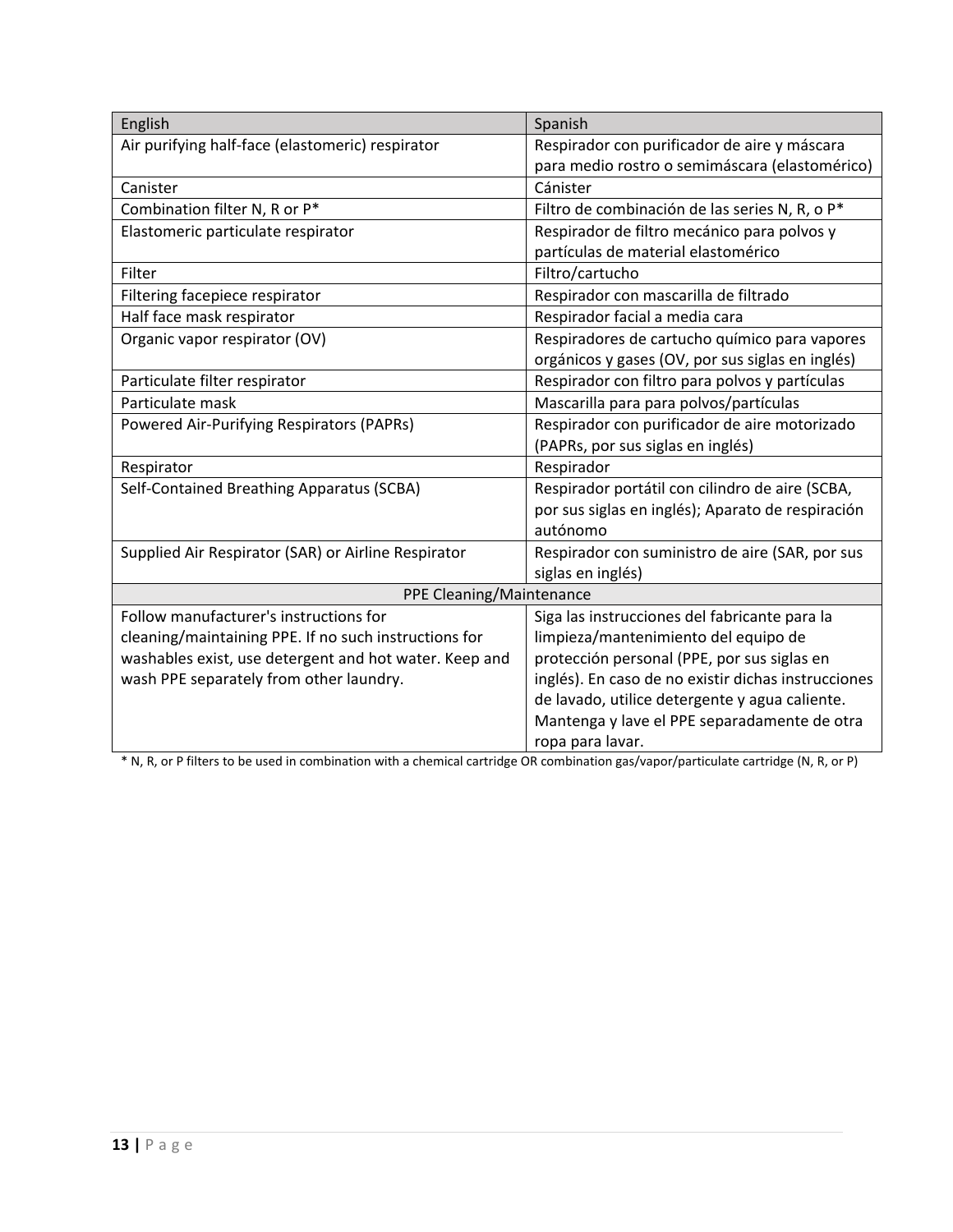| English                                                | Spanish                                             |  |
|--------------------------------------------------------|-----------------------------------------------------|--|
| Air purifying half-face (elastomeric) respirator       | Respirador con purificador de aire y máscara        |  |
|                                                        | para medio rostro o semimáscara (elastomérico)      |  |
| Canister                                               | Cánister                                            |  |
| Combination filter N, R or P*                          | Filtro de combinación de las series N, R, o P*      |  |
| Elastomeric particulate respirator                     | Respirador de filtro mecánico para polvos y         |  |
|                                                        | partículas de material elastomérico                 |  |
| Filter                                                 | Filtro/cartucho                                     |  |
| Filtering facepiece respirator                         | Respirador con mascarilla de filtrado               |  |
| Half face mask respirator                              | Respirador facial a media cara                      |  |
| Organic vapor respirator (OV)                          | Respiradores de cartucho químico para vapores       |  |
|                                                        | orgánicos y gases (OV, por sus siglas en inglés)    |  |
| Particulate filter respirator                          | Respirador con filtro para polvos y partículas      |  |
| Particulate mask                                       | Mascarilla para para polvos/partículas              |  |
| <b>Powered Air-Purifying Respirators (PAPRs)</b>       | Respirador con purificador de aire motorizado       |  |
|                                                        | (PAPRs, por sus siglas en inglés)                   |  |
| Respirator                                             | Respirador                                          |  |
| Self-Contained Breathing Apparatus (SCBA)              | Respirador portátil con cilindro de aire (SCBA,     |  |
|                                                        | por sus siglas en inglés); Aparato de respiración   |  |
|                                                        | autónomo                                            |  |
| Supplied Air Respirator (SAR) or Airline Respirator    | Respirador con suministro de aire (SAR, por sus     |  |
|                                                        | siglas en inglés)                                   |  |
| PPE Cleaning/Maintenance                               |                                                     |  |
| Follow manufacturer's instructions for                 | Siga las instrucciones del fabricante para la       |  |
| cleaning/maintaining PPE. If no such instructions for  | limpieza/mantenimiento del equipo de                |  |
| washables exist, use detergent and hot water. Keep and | protección personal (PPE, por sus siglas en         |  |
| wash PPE separately from other laundry.                | inglés). En caso de no existir dichas instrucciones |  |
|                                                        | de lavado, utilice detergente y agua caliente.      |  |
|                                                        | Mantenga y lave el PPE separadamente de otra        |  |
|                                                        | ropa para lavar.                                    |  |

\* N, R, or P filters to be used in combination with a chemical cartridge OR combination gas/vapor/particulate cartridge (N, R, or P)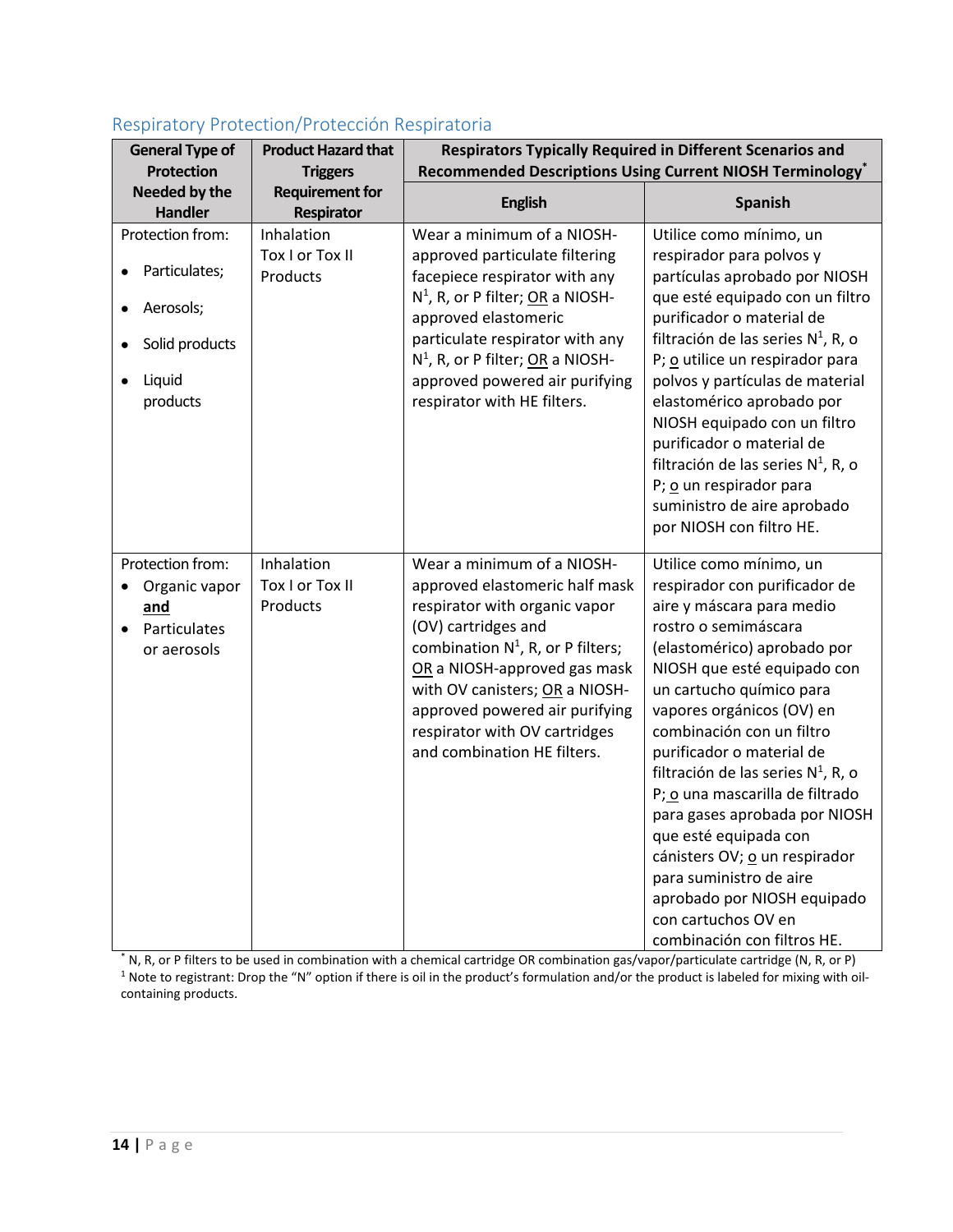| <b>General Type of</b><br><b>Protection</b>                                                         | <b>Product Hazard that</b><br><b>Triggers</b> | <b>Respirators Typically Required in Different Scenarios and</b>                                                                                                                                                                                                                                                                 | Recommended Descriptions Using Current NIOSH Terminology <sup>*</sup>                                                                                                                                                                                                                                                                                                                                                                                                                                                                                                                 |
|-----------------------------------------------------------------------------------------------------|-----------------------------------------------|----------------------------------------------------------------------------------------------------------------------------------------------------------------------------------------------------------------------------------------------------------------------------------------------------------------------------------|---------------------------------------------------------------------------------------------------------------------------------------------------------------------------------------------------------------------------------------------------------------------------------------------------------------------------------------------------------------------------------------------------------------------------------------------------------------------------------------------------------------------------------------------------------------------------------------|
| Needed by the<br>Handler                                                                            | <b>Requirement for</b><br>Respirator          | <b>English</b>                                                                                                                                                                                                                                                                                                                   | <b>Spanish</b>                                                                                                                                                                                                                                                                                                                                                                                                                                                                                                                                                                        |
| Protection from:<br>Particulates;<br>Aerosols;<br>Solid products<br>Liquid<br>$\bullet$<br>products | Inhalation<br>Tox I or Tox II<br>Products     | Wear a minimum of a NIOSH-<br>approved particulate filtering<br>facepiece respirator with any<br>$N^1$ , R, or P filter; OR a NIOSH-<br>approved elastomeric<br>particulate respirator with any<br>$N^1$ , R, or P filter; OR a NIOSH-<br>approved powered air purifying<br>respirator with HE filters.                          | Utilice como mínimo, un<br>respirador para polvos y<br>partículas aprobado por NIOSH<br>que esté equipado con un filtro<br>purificador o material de<br>filtración de las series $N^1$ , R, o<br>P; o utilice un respirador para<br>polvos y partículas de material<br>elastomérico aprobado por<br>NIOSH equipado con un filtro<br>purificador o material de<br>filtración de las series $N^1$ , R, o<br>P; o un respirador para<br>suministro de aire aprobado<br>por NIOSH con filtro HE.                                                                                          |
| Protection from:<br>Organic vapor<br>and<br>Particulates<br>or aerosols                             | Inhalation<br>Tox I or Tox II<br>Products     | Wear a minimum of a NIOSH-<br>approved elastomeric half mask<br>respirator with organic vapor<br>(OV) cartridges and<br>combination $N^1$ , R, or P filters;<br>OR a NIOSH-approved gas mask<br>with OV canisters; OR a NIOSH-<br>approved powered air purifying<br>respirator with OV cartridges<br>and combination HE filters. | Utilice como mínimo, un<br>respirador con purificador de<br>aire y máscara para medio<br>rostro o semimáscara<br>(elastomérico) aprobado por<br>NIOSH que esté equipado con<br>un cartucho químico para<br>vapores orgánicos (OV) en<br>combinación con un filtro<br>purificador o material de<br>filtración de las series $N^1$ , R, o<br>P; o una mascarilla de filtrado<br>para gases aprobada por NIOSH<br>que esté equipada con<br>cánisters OV; o un respirador<br>para suministro de aire<br>aprobado por NIOSH equipado<br>con cartuchos OV en<br>combinación con filtros HE. |

### <span id="page-13-0"></span>Respiratory Protection/Protección Respiratoria

\* N, R, or P filters to be used in combination with a chemical cartridge OR combination gas/vapor/particulate cartridge (N, R, or P) <sup>1</sup> Note to registrant: Drop the "N" option if there is oil in the product's formulation and/or the product is labeled for mixing with oilcontaining products.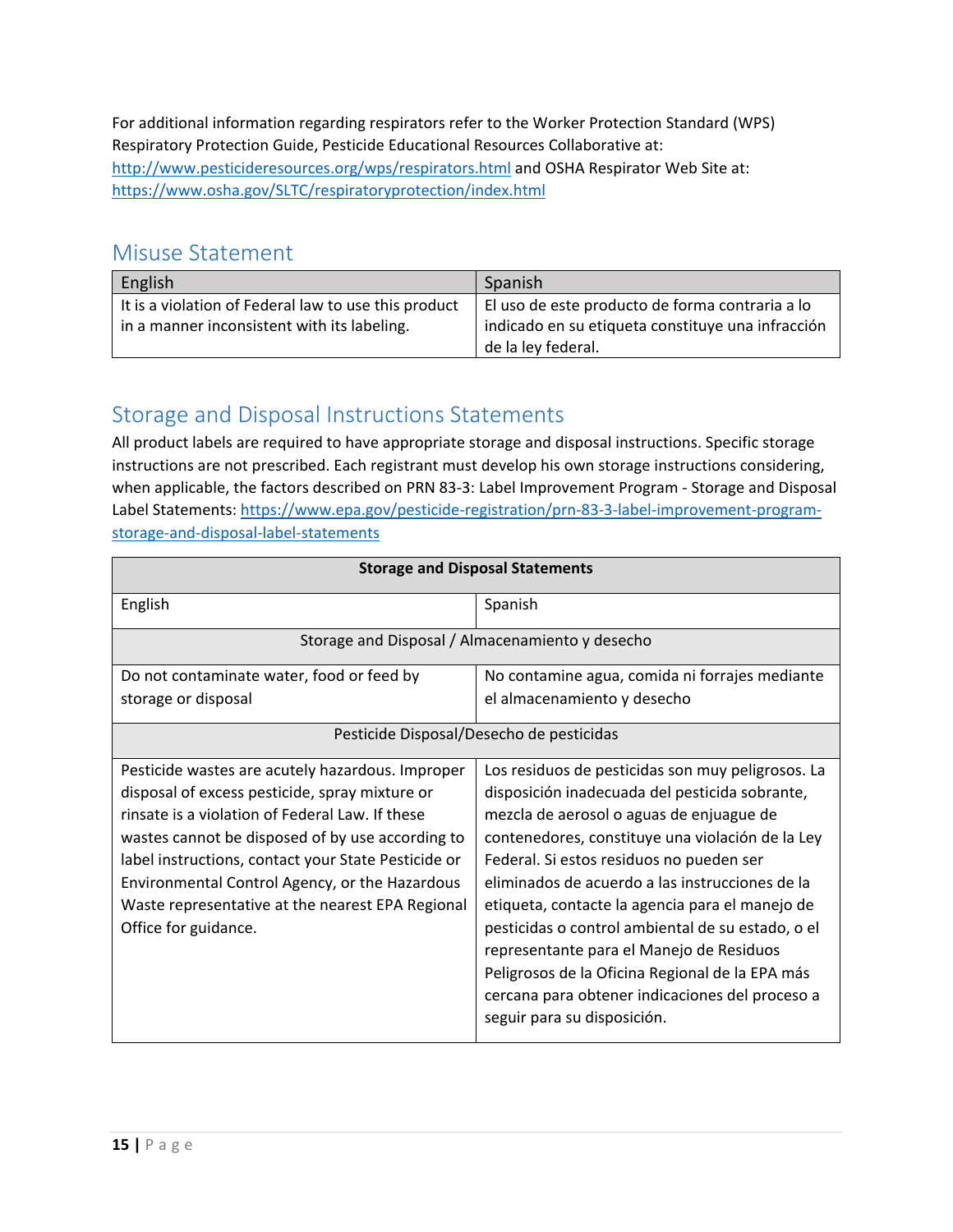For additional information regarding respirators refer to the Worker Protection Standard (WPS) Respiratory Protection Guide, Pesticide Educational Resources Collaborative at: <http://www.pesticideresources.org/wps/respirators.html> and OSHA Respirator Web Site at: <https://www.osha.gov/SLTC/respiratoryprotection/index.html>

### <span id="page-14-0"></span>Misuse Statement

| English                                              | Spanish                                           |
|------------------------------------------------------|---------------------------------------------------|
| It is a violation of Federal law to use this product | El uso de este producto de forma contraria a lo   |
| in a manner inconsistent with its labeling.          | indicado en su etiqueta constituye una infracción |
|                                                      | de la ley federal.                                |

# <span id="page-14-1"></span>Storage and Disposal Instructions Statements

All product labels are required to have appropriate storage and disposal instructions. Specific storage instructions are not prescribed. Each registrant must develop his own storage instructions considering, when applicable, the factors described on PRN 83-3: Label Improvement Program - Storage and Disposal Label Statements: [https://www.epa.gov/pesticide-registration/prn-83-3-label-improvement-program](https://www.epa.gov/pesticide-registration/prn-83-3-label-improvement-program-storage-and-disposal-label-statements)[storage-and-disposal-label-statements](https://www.epa.gov/pesticide-registration/prn-83-3-label-improvement-program-storage-and-disposal-label-statements)

| <b>Storage and Disposal Statements</b>              |                                                   |  |
|-----------------------------------------------------|---------------------------------------------------|--|
| English                                             | Spanish                                           |  |
|                                                     | Storage and Disposal / Almacenamiento y desecho   |  |
| Do not contaminate water, food or feed by           | No contamine agua, comida ni forrajes mediante    |  |
| storage or disposal                                 | el almacenamiento y desecho                       |  |
| Pesticide Disposal/Desecho de pesticidas            |                                                   |  |
| Pesticide wastes are acutely hazardous. Improper    | Los residuos de pesticidas son muy peligrosos. La |  |
| disposal of excess pesticide, spray mixture or      | disposición inadecuada del pesticida sobrante,    |  |
| rinsate is a violation of Federal Law. If these     | mezcla de aerosol o aguas de enjuague de          |  |
| wastes cannot be disposed of by use according to    | contenedores, constituye una violación de la Ley  |  |
| label instructions, contact your State Pesticide or | Federal. Si estos residuos no pueden ser          |  |
| Environmental Control Agency, or the Hazardous      | eliminados de acuerdo a las instrucciones de la   |  |
| Waste representative at the nearest EPA Regional    | etiqueta, contacte la agencia para el manejo de   |  |
| Office for guidance.                                | pesticidas o control ambiental de su estado, o el |  |
|                                                     | representante para el Manejo de Residuos          |  |
|                                                     | Peligrosos de la Oficina Regional de la EPA más   |  |
|                                                     | cercana para obtener indicaciones del proceso a   |  |
|                                                     | seguir para su disposición.                       |  |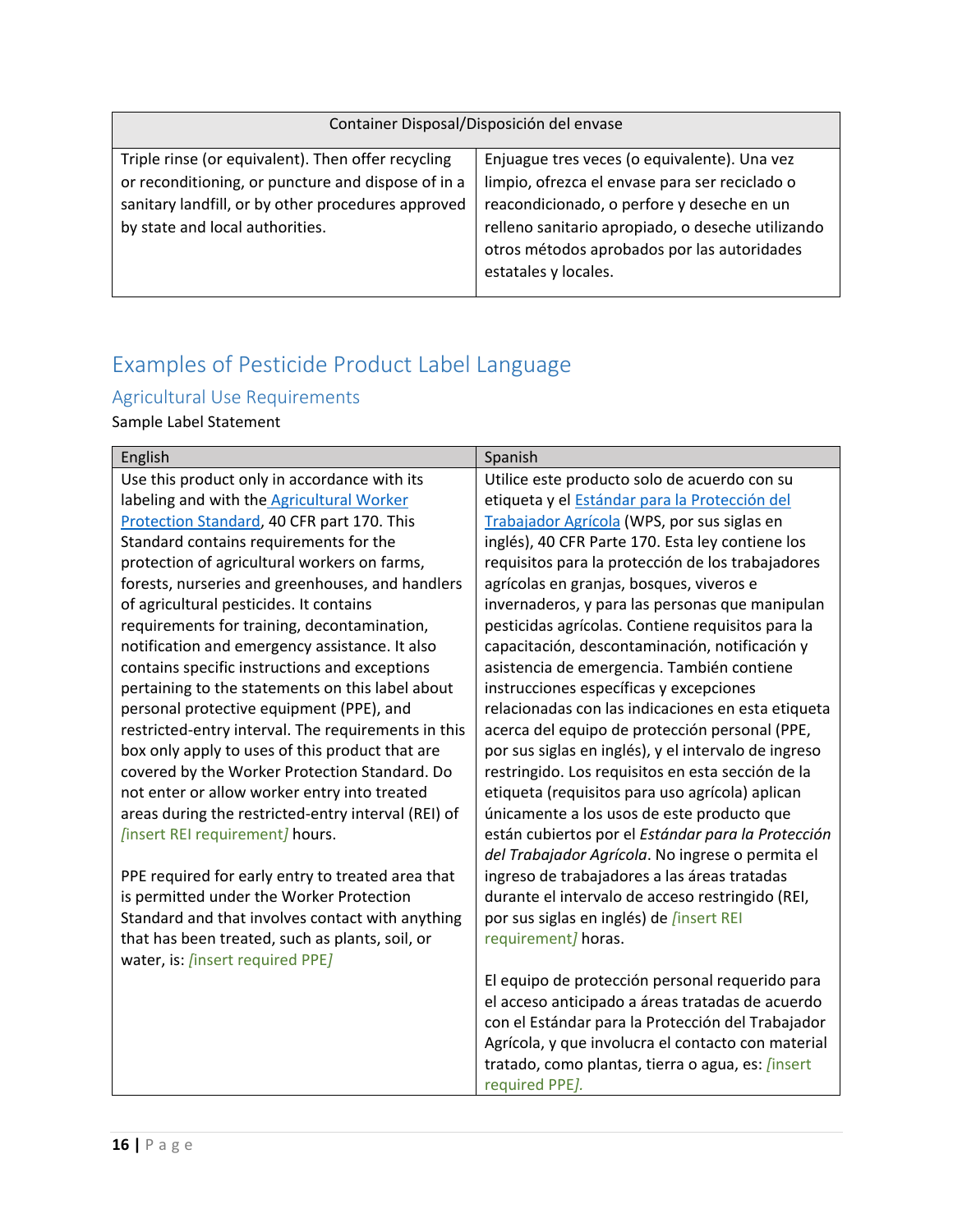| Container Disposal/Disposición del envase                                                                                                                                                         |                                                                                                                                                                                                                                                                          |  |
|---------------------------------------------------------------------------------------------------------------------------------------------------------------------------------------------------|--------------------------------------------------------------------------------------------------------------------------------------------------------------------------------------------------------------------------------------------------------------------------|--|
| Triple rinse (or equivalent). Then offer recycling<br>or reconditioning, or puncture and dispose of in a<br>sanitary landfill, or by other procedures approved<br>by state and local authorities. | Enjuague tres veces (o equivalente). Una vez<br>limpio, ofrezca el envase para ser reciclado o<br>reacondicionado, o perfore y deseche en un<br>relleno sanitario apropiado, o deseche utilizando<br>otros métodos aprobados por las autoridades<br>estatales y locales. |  |
|                                                                                                                                                                                                   |                                                                                                                                                                                                                                                                          |  |

# <span id="page-15-0"></span>Examples of Pesticide Product Label Language

### <span id="page-15-1"></span>Agricultural Use Requirements

Sample Label Statement

| English                                             | Spanish                                              |
|-----------------------------------------------------|------------------------------------------------------|
| Use this product only in accordance with its        | Utilice este producto solo de acuerdo con su         |
| labeling and with the <b>Agricultural Worker</b>    | etiqueta y el Estándar para la Protección del        |
| Protection Standard, 40 CFR part 170. This          | Trabajador Agrícola (WPS, por sus siglas en          |
| Standard contains requirements for the              | inglés), 40 CFR Parte 170. Esta ley contiene los     |
| protection of agricultural workers on farms,        | requisitos para la protección de los trabajadores    |
| forests, nurseries and greenhouses, and handlers    | agrícolas en granjas, bosques, viveros e             |
| of agricultural pesticides. It contains             | invernaderos, y para las personas que manipulan      |
| requirements for training, decontamination,         | pesticidas agrícolas. Contiene requisitos para la    |
| notification and emergency assistance. It also      | capacitación, descontaminación, notificación y       |
| contains specific instructions and exceptions       | asistencia de emergencia. También contiene           |
| pertaining to the statements on this label about    | instrucciones específicas y excepciones              |
| personal protective equipment (PPE), and            | relacionadas con las indicaciones en esta etiqueta   |
| restricted-entry interval. The requirements in this | acerca del equipo de protección personal (PPE,       |
| box only apply to uses of this product that are     | por sus siglas en inglés), y el intervalo de ingreso |
| covered by the Worker Protection Standard. Do       | restringido. Los requisitos en esta sección de la    |
| not enter or allow worker entry into treated        | etiqueta (requisitos para uso agrícola) aplican      |
| areas during the restricted-entry interval (REI) of | únicamente a los usos de este producto que           |
| [insert REI requirement] hours.                     | están cubiertos por el Estándar para la Protección   |
|                                                     | del Trabajador Agrícola. No ingrese o permita el     |
| PPE required for early entry to treated area that   | ingreso de trabajadores a las áreas tratadas         |
| is permitted under the Worker Protection            | durante el intervalo de acceso restringido (REI,     |
| Standard and that involves contact with anything    | por sus siglas en inglés) de <i>[insert REI</i>      |
| that has been treated, such as plants, soil, or     | requirement] horas.                                  |
| water, is: [insert required PPE]                    |                                                      |
|                                                     | El equipo de protección personal requerido para      |
|                                                     | el acceso anticipado a áreas tratadas de acuerdo     |
|                                                     | con el Estándar para la Protección del Trabajador    |
|                                                     | Agrícola, y que involucra el contacto con material   |
|                                                     | tratado, como plantas, tierra o agua, es: [insert    |
|                                                     | required PPE].                                       |